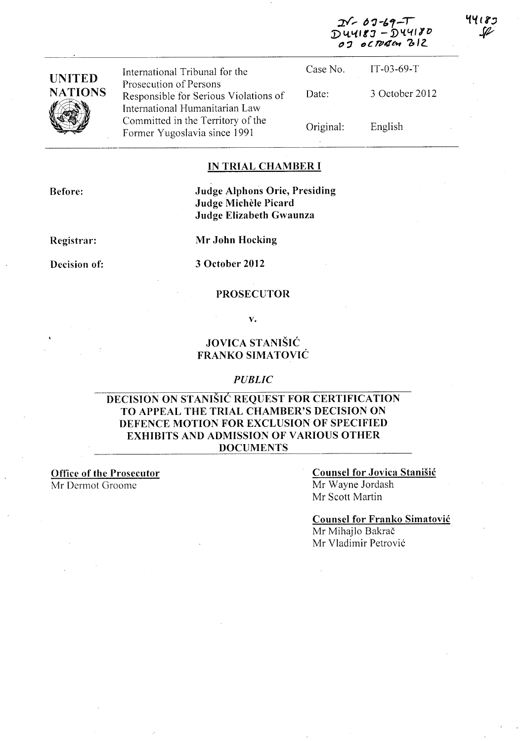| $2\sqrt{60}-12\sqrt{9}-1$ |
|---------------------------|
| $DUUISJ-DUUIJO$           |
| 07 octorem 212            |

44185

| <b>UNITED</b>       | International Tribunal for the                                                                      | Case No.  | $IT-03-69-T$   |  |
|---------------------|-----------------------------------------------------------------------------------------------------|-----------|----------------|--|
| <b>NATIONS</b><br>V | Prosecution of Persons<br>Responsible for Serious Violations of                                     | Date:     | 3 October 2012 |  |
|                     | International Humanitarian Law<br>Committed in the Territory of the<br>Former Yugoslavia since 1991 | Original: | English        |  |

### **IN TRIAL CHAMBER I**

**Before:** 

**Judge Alphons Orie, Presiding Judge Michele Picard Judge Elizabeth Gwaunza** 

**Registrar:** 

**Decision of:** 

**Mr John Hocking** 

**3 October 2012** 

### **PROSECUTOR**

**v.** 

## **JOVICA STANISIC FRANKO SIMA TOVIC**

### *PUBLIC*

## **DECISION ON STANISIC REQUEST FOR CERTIFICATION TO APPEAL THE TRIAL CHAMBER'S DECISION ON DEFENCE MOTION FOR EXCLUSION OF SPECIFIED EXHIBITS AND ADMISSION OF VARIOUS OTHER DOCUMENTS**

**Office of the Prosecutor**  Mr Dermot Groome

## **Counsel for Jovica Stanisic**

Mr Wayne lordash Mr Scott Martin

**Counsel for Franko Simatovic** 

Mr Mihajlo Bakrač Mr Vladimir Petrović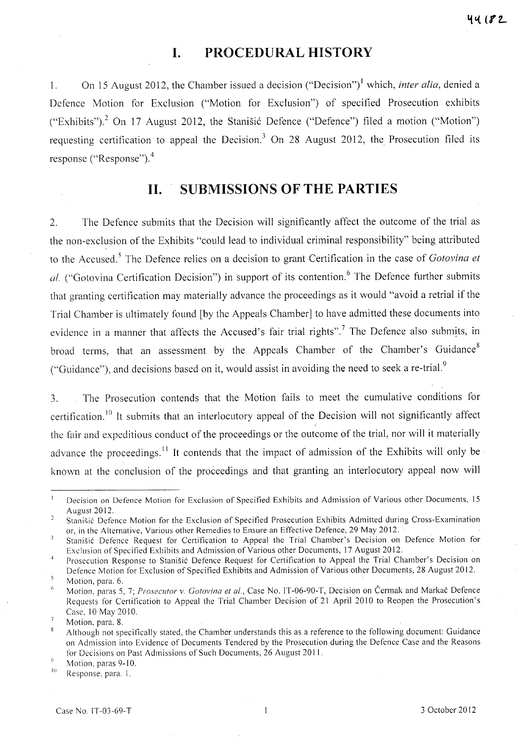## **I. PROCEDURAL HISTORY**

1. On 15 August 2012, the Chamber issued a decision ("Decision") 1 which, *inter alia,* denied a Defence Motion for Exclusion ("Motion for Exclusion") of specified Prosecution exhibits ("Exhibits").<sup>2</sup> On 17 August 2012, the Stanišić Defence ("Defence") filed a motion ("Motion") requesting certification to appeal the Decision.<sup>3</sup> On 28 August 2012, the Prosecution filed its response ("Response"). $4$ 

# **11. SUBMISSIONS OF THE PARTIES**

2. The Defence submits that the Decision will significantly affect the outcome of the trial as the non-exclusion of the Exhibits "could lead to individual criminal responsibility" being attributed to the Accused. 5 The Defence relies on a decision to grant Certification in the case of *Gotovina et*  al. ("Gotovina Certification Decision") in support of its contention.<sup>6</sup> The Defence further submits that granting certification may materially advance the proceedings as it would "avoid a retrial if the Trial Chamber is ultimately found [by the Appeals Chamber] to have admitted these documents into evidence in a manner that affects the Accused's fair trial rights".<sup>7</sup> The Defence also submits, in broad terms, that an assessment by the Appeals Chamber of the Chamber's Guidance<sup>8</sup> ("Guidance"), and decisions based on it, would assist in avoiding the need to seek a re-trial.<sup>9</sup>

3. The Prosecution contends that the Motion fails to meet the cumulative conditions for certification.<sup>10</sup> It submits that an interlocutory appeal of the Decision will not significantly affect the fair and expeditious conduct of the proceedings or the outcome of the trial, nor will it materially advance the proceedings.<sup>11</sup> It contends that the impact of admission of the Exhibits will only be known at the conclusion of the proceedings and that granting an interlocutory appeal now will

Decision on Defence Motion for Exclusion of Specified Exhibits and Admission of Various other Documents, 15  $\bf{l}$ August 2012.

 $\overline{2}$ Stanišić Defence Motion for the Exclusion of Specified Prosecution Exhibits Admitted during Cross-Examination or, in the Alternative, Various other Remedies to Ensure an Effective Defence, 29 May 2012.

<sup>3</sup> Stanišić Defence Request for Certification to Appeal the Trial Chamber's Decision on Defence Motion for Exclusion of Specified Exhibits and Admission of Various other Documents, 17 August 2012.

Prosecution Response to Stanišić Defence Request for Certification to Appeal the Trial Chamber's Decision on Defence Motion for Exclusion of Specified Exhibits and Admission of Various other Documents, 28 August 2012.

 $\overline{\mathbf{S}}$ Motion, para. 6.

Motion, paras 5, 7; *Prosecutor* v. *Gotovina et aI.,* Case No. IT-06-90-T, Decision on Cermak and Markac Defence 6 Requests for Certification to Appeal the Trial Chamber Decision of 21 April 2010 to Reopen the Prosecution's Case, 10 May 2010.

 $\overline{7}$ Motion, para. 8.

Although not specifically stated, the Chamber understands this as a reference to the following document: Guidance 8 on Admission into Evidence of Documents Tendered by the Prosecution during the Defence Case and the Reasons for Decisions on Past Admissions of Such Documents, 26 August 2011.

 $\dot{9}$ Motion, paras 9-10. 10

Response, para. I.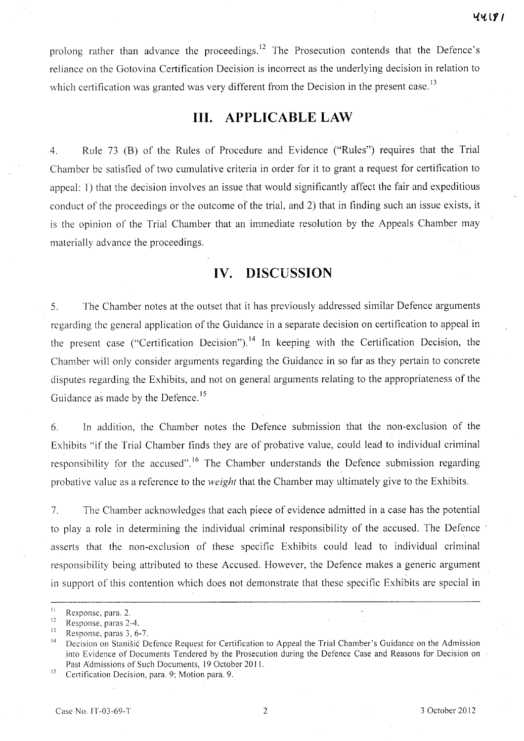prolong rather than advance the proceedings.<sup>12</sup> The Prosecution contends that the Defence's reliance on the Gotovina Certification Decision is incorrect as the underlying decision in relation to which certification was granted was very different from the Decision in the present case.<sup>13</sup>

# **Ill. APPLICABLE LAW**

4. Rule 73 (B) of the Rules of Procedure and Evidence ("Rules") requires that the Trial Chamber be satisfied of two cumulative criteria in order for it to grant a request for certification to appeal: I) that the decision involves an issue that would significantly affect the fair and expeditious conduct of the proceedings or the outcome of the trial, and 2) that in finding such an issue exists, it is the opinion of the Trial Chamber that an immediate resolution by the Appeals Chamber may materially advance the proceedings.

# **IV. DISCUSSION**

5. The Chamber notes at the outset that it has previously addressed similar Defence arguments regarding the general application of the Guidance in a separate decision on certification to appeal in the present case ("Certification Decision").<sup>14</sup> In keeping with the Certification Decision, the Chamber will only consider arguments regarding the Guidance in so far as they pertain to concrete disputes regarding the Exhibits, and not on general arguments relating to the appropriateness of the Guidance as made by the Defence.<sup>15</sup>

6. In addition, the Chamber notes the Defence submission that the non-exclusion of the Exhibits "if the Trial Chamber finds they are of probative value, could lead to individual criminal responsibility for the accused".<sup>16</sup> The Chamber understands the Defence submission regarding probative value as a reference to the *weight* that the Chamber may ultimately give to the Exhibits.

7. The Chamber acknowledges that each piece of evidence admitted in a case has the potential to play a role in determining the individual criminal responsibility of the accused. The Defence asserts that the non-exclusion of these specific Exhibits could lead to individual criminal responsibility being attributed to these Accused. However, the Defence makes a generic argument in support of this contention which does not demonstrate that these specific Exhibits are special in

 $11$  Response, para. 2.

**<sup>12</sup> Response**, **paras 2-4.** *p* 

<sup>&</sup>lt;sup>13</sup> Response, paras 3, 6-7.<br><sup>14</sup> Décision en Starišić D

Decision on Stanišić Defence Request for Certification to Appeal the Trial Chamber's Guidance on the Admission .into Evidence of Documents Tendered by the Prosecution during the Defence Case and Reasons for Decision on Past Admissions of Such Documents, 19 October 2011.

<sup>&</sup>lt;sup>15</sup> Certification Decision, para. 9; Motion para. 9.